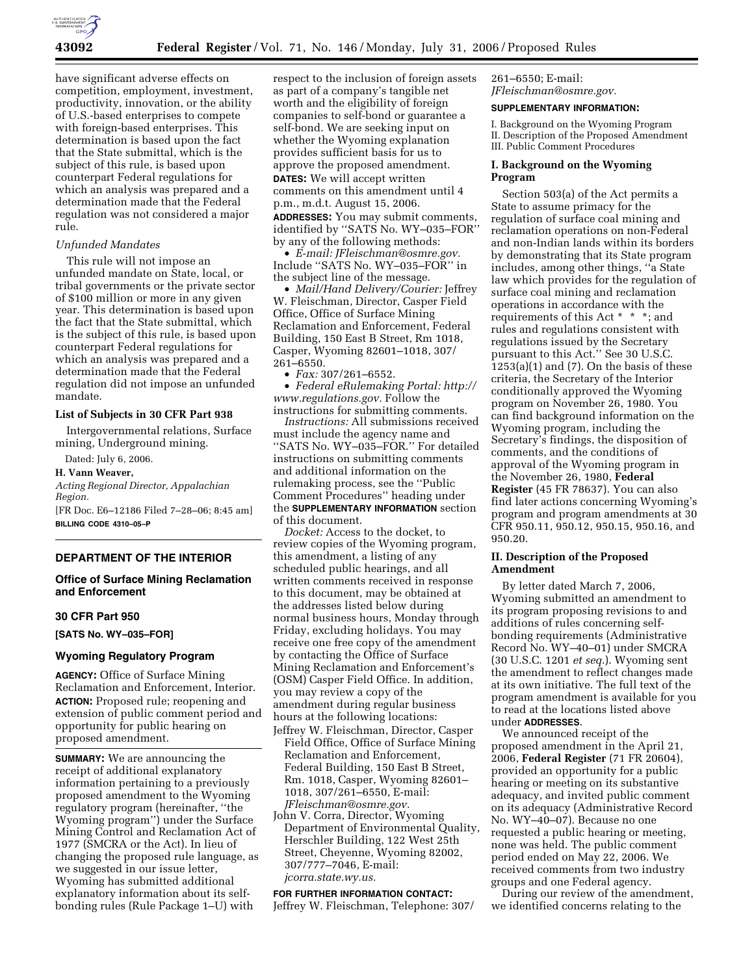

have significant adverse effects on competition, employment, investment, productivity, innovation, or the ability of U.S.-based enterprises to compete with foreign-based enterprises. This determination is based upon the fact that the State submittal, which is the subject of this rule, is based upon counterpart Federal regulations for which an analysis was prepared and a determination made that the Federal regulation was not considered a major rule.

### *Unfunded Mandates*

This rule will not impose an unfunded mandate on State, local, or tribal governments or the private sector of \$100 million or more in any given year. This determination is based upon the fact that the State submittal, which is the subject of this rule, is based upon counterpart Federal regulations for which an analysis was prepared and a determination made that the Federal regulation did not impose an unfunded mandate.

#### **List of Subjects in 30 CFR Part 938**

Intergovernmental relations, Surface mining, Underground mining.

Dated: July 6, 2006.

# **H. Vann Weaver,**

*Acting Regional Director, Appalachian Region.* 

[FR Doc. E6–12186 Filed 7–28–06; 8:45 am] **BILLING CODE 4310–05–P** 

# **DEPARTMENT OF THE INTERIOR**

# **Office of Surface Mining Reclamation and Enforcement**

#### **30 CFR Part 950**

**[SATS No. WY–035–FOR]** 

# **Wyoming Regulatory Program**

**AGENCY:** Office of Surface Mining Reclamation and Enforcement, Interior. **ACTION:** Proposed rule; reopening and extension of public comment period and opportunity for public hearing on proposed amendment.

**SUMMARY:** We are announcing the receipt of additional explanatory information pertaining to a previously proposed amendment to the Wyoming regulatory program (hereinafter, ''the Wyoming program'') under the Surface Mining Control and Reclamation Act of 1977 (SMCRA or the Act). In lieu of changing the proposed rule language, as we suggested in our issue letter, Wyoming has submitted additional explanatory information about its selfbonding rules (Rule Package 1–U) with

respect to the inclusion of foreign assets as part of a company's tangible net worth and the eligibility of foreign companies to self-bond or guarantee a self-bond. We are seeking input on whether the Wyoming explanation provides sufficient basis for us to approve the proposed amendment. **DATES:** We will accept written comments on this amendment until 4

p.m., m.d.t. August 15, 2006.

**ADDRESSES:** You may submit comments, identified by ''SATS No. WY–035–FOR'' by any of the following methods:

• *E-mail: JFleischman@osmre.gov.*  Include ''SATS No. WY–035–FOR'' in the subject line of the message.

• *Mail/Hand Delivery/Courier:* Jeffrey W. Fleischman, Director, Casper Field Office, Office of Surface Mining Reclamation and Enforcement, Federal Building, 150 East B Street, Rm 1018, Casper, Wyoming 82601–1018, 307/ 261–6550.

• *Fax:* 307/261–6552.

• *Federal eRulemaking Portal: http:// www.regulations.gov.* Follow the instructions for submitting comments.

*Instructions:* All submissions received must include the agency name and ''SATS No. WY–035–FOR.'' For detailed instructions on submitting comments and additional information on the rulemaking process, see the ''Public Comment Procedures'' heading under the **SUPPLEMENTARY INFORMATION** section of this document.

*Docket:* Access to the docket, to review copies of the Wyoming program, this amendment, a listing of any scheduled public hearings, and all written comments received in response to this document, may be obtained at the addresses listed below during normal business hours, Monday through Friday, excluding holidays. You may receive one free copy of the amendment by contacting the Office of Surface Mining Reclamation and Enforcement's (OSM) Casper Field Office. In addition, you may review a copy of the amendment during regular business hours at the following locations:

- Jeffrey W. Fleischman, Director, Casper Field Office, Office of Surface Mining Reclamation and Enforcement, Federal Building, 150 East B Street, Rm. 1018, Casper, Wyoming 82601– 1018, 307/261–6550, E-mail: *JFleischman@osmre.gov.*
- John V. Corra, Director, Wyoming Department of Environmental Quality, Herschler Building, 122 West 25th Street, Cheyenne, Wyoming 82002, 307/777–7046, E-mail: *jcorra.state.wy.us.*

# **FOR FURTHER INFORMATION CONTACT:**  Jeffrey W. Fleischman, Telephone: 307/

261–6550; E-mail: *JFleischman@osmre.gov.* 

#### **SUPPLEMENTARY INFORMATION:**

I. Background on the Wyoming Program II. Description of the Proposed Amendment III. Public Comment Procedures

### **I. Background on the Wyoming Program**

Section 503(a) of the Act permits a State to assume primacy for the regulation of surface coal mining and reclamation operations on non-Federal and non-Indian lands within its borders by demonstrating that its State program includes, among other things, ''a State law which provides for the regulation of surface coal mining and reclamation operations in accordance with the requirements of this Act \* \* \*; and rules and regulations consistent with regulations issued by the Secretary pursuant to this Act.'' See 30 U.S.C.  $1253(a)(1)$  and  $(7)$ . On the basis of these criteria, the Secretary of the Interior conditionally approved the Wyoming program on November 26, 1980. You can find background information on the Wyoming program, including the Secretary's findings, the disposition of comments, and the conditions of approval of the Wyoming program in the November 26, 1980, **Federal Register** (45 FR 78637). You can also find later actions concerning Wyoming's program and program amendments at 30 CFR 950.11, 950.12, 950.15, 950.16, and 950.20.

### **II. Description of the Proposed Amendment**

By letter dated March 7, 2006, Wyoming submitted an amendment to its program proposing revisions to and additions of rules concerning selfbonding requirements (Administrative Record No. WY–40–01) under SMCRA (30 U.S.C. 1201 *et seq.*). Wyoming sent the amendment to reflect changes made at its own initiative. The full text of the program amendment is available for you to read at the locations listed above under **ADDRESSES**.

We announced receipt of the proposed amendment in the April 21, 2006, **Federal Register** (71 FR 20604), provided an opportunity for a public hearing or meeting on its substantive adequacy, and invited public comment on its adequacy (Administrative Record No. WY–40–07). Because no one requested a public hearing or meeting, none was held. The public comment period ended on May 22, 2006. We received comments from two industry groups and one Federal agency.

During our review of the amendment, we identified concerns relating to the